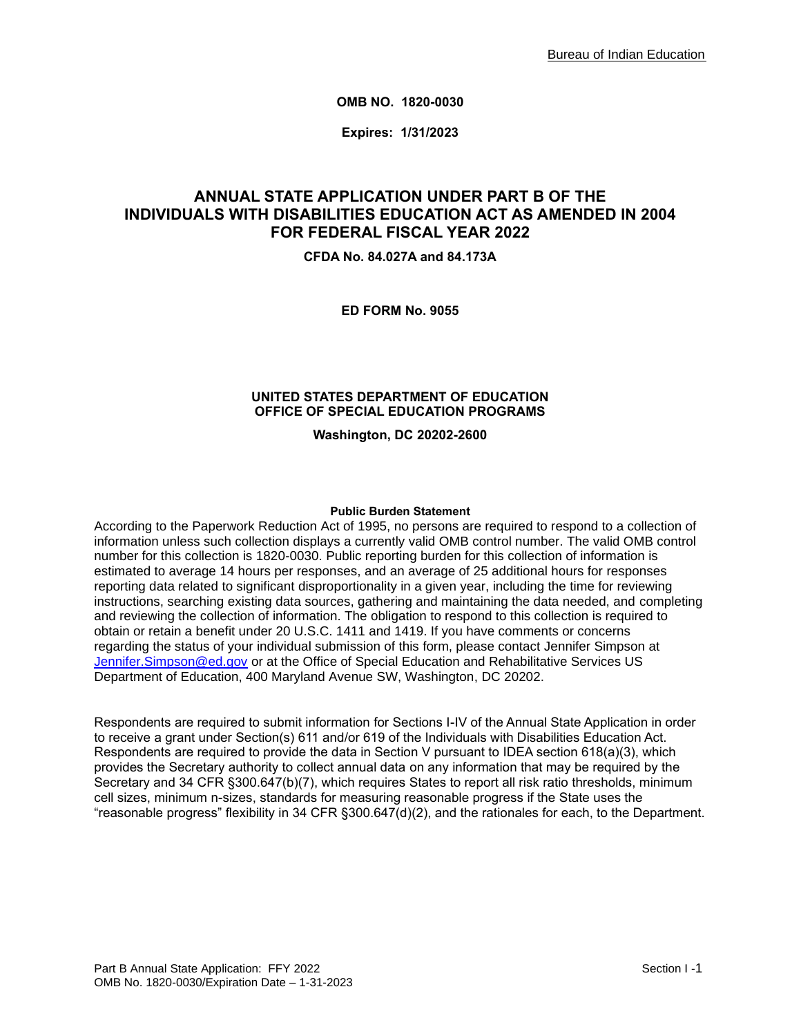**OMB NO. 1820-0030**

**Expires: 1/31/2023**

# **ANNUAL STATE APPLICATION UNDER PART B OF THE INDIVIDUALS WITH DISABILITIES EDUCATION ACT AS AMENDED IN 2004 FOR FEDERAL FISCAL YEAR 2022**

**CFDA No. 84.027A and 84.173A**

**ED FORM No. 9055**

### **UNITED STATES DEPARTMENT OF EDUCATION OFFICE OF SPECIAL EDUCATION PROGRAMS**

**Washington, DC 20202-2600**

#### **Public Burden Statement**

According to the Paperwork Reduction Act of 1995, no persons are required to respond to a collection of information unless such collection displays a currently valid OMB control number. The valid OMB control number for this collection is 1820-0030. Public reporting burden for this collection of information is estimated to average 14 hours per responses, and an average of 25 additional hours for responses reporting data related to significant disproportionality in a given year, including the time for reviewing instructions, searching existing data sources, gathering and maintaining the data needed, and completing and reviewing the collection of information. The obligation to respond to this collection is required to obtain or retain a benefit under 20 U.S.C. 1411 and 1419. If you have comments or concerns regarding the status of your individual submission of this form, please contact Jennifer Simpson at [Jennifer.Simpson@ed.gov](mailto:Jennifer.Simpson@ed.gov) or at the Office of Special Education and Rehabilitative Services US Department of Education, 400 Maryland Avenue SW, Washington, DC 20202.

Respondents are required to submit information for Sections I-IV of the Annual State Application in order to receive a grant under Section(s) 611 and/or 619 of the Individuals with Disabilities Education Act. Respondents are required to provide the data in Section V pursuant to IDEA section 618(a)(3), which provides the Secretary authority to collect annual data on any information that may be required by the Secretary and 34 CFR §300.647(b)(7), which requires States to report all risk ratio thresholds, minimum cell sizes, minimum n-sizes, standards for measuring reasonable progress if the State uses the "reasonable progress" flexibility in 34 CFR §300.647(d)(2), and the rationales for each, to the Department.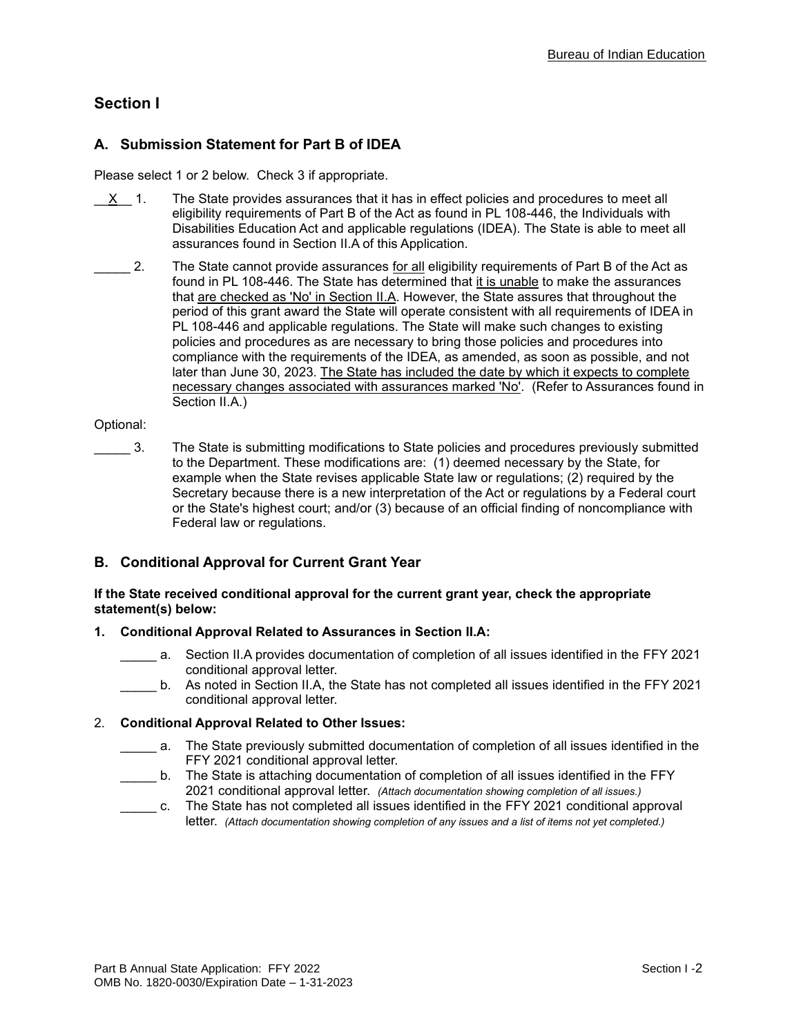# **Section I**

## **A. Submission Statement for Part B of IDEA**

Please select 1 or 2 below. Check 3 if appropriate.

- $X$  1. The State provides assurances that it has in effect policies and procedures to meet all eligibility requirements of Part B of the Act as found in PL 108-446, the Individuals with Disabilities Education Act and applicable regulations (IDEA). The State is able to meet all assurances found in Section II.A of this Application.
- \_\_\_\_ 2. The State cannot provide assurances <u>for all</u> eligibility requirements of Part B of the Act as found in PL 108-446. The State has determined that it is unable to make the assurances that are checked as 'No' in Section II.A. However, the State assures that throughout the period of this grant award the State will operate consistent with all requirements of IDEA in PL 108-446 and applicable regulations. The State will make such changes to existing policies and procedures as are necessary to bring those policies and procedures into compliance with the requirements of the IDEA, as amended, as soon as possible, and not later than June 30, 2023. The State has included the date by which it expects to complete necessary changes associated with assurances marked 'No'. (Refer to Assurances found in Section II.A.)

### Optional:

\_\_\_\_\_ 3. The State is submitting modifications to State policies and procedures previously submitted to the Department. These modifications are: (1) deemed necessary by the State, for example when the State revises applicable State law or regulations; (2) required by the Secretary because there is a new interpretation of the Act or regulations by a Federal court or the State's highest court; and/or (3) because of an official finding of noncompliance with Federal law or regulations.

## **B. Conditional Approval for Current Grant Year**

### **If the State received conditional approval for the current grant year, check the appropriate statement(s) below:**

### **1. Conditional Approval Related to Assurances in Section II.A:**

- a. Section II.A provides documentation of completion of all issues identified in the FFY 2021 conditional approval letter.
- b. As noted in Section II.A, the State has not completed all issues identified in the FFY 2021 conditional approval letter.

### 2. **Conditional Approval Related to Other Issues:**

- \_\_\_\_\_ a. The State previously submitted documentation of completion of all issues identified in the FFY 2021 conditional approval letter.
- b. The State is attaching documentation of completion of all issues identified in the FFY 2021 conditional approval letter. *(Attach documentation showing completion of all issues.)*
- \_\_\_\_\_ c. The State has not completed all issues identified in the FFY 2021 conditional approval letter. *(Attach documentation showing completion of any issues and a list of items not yet completed.)*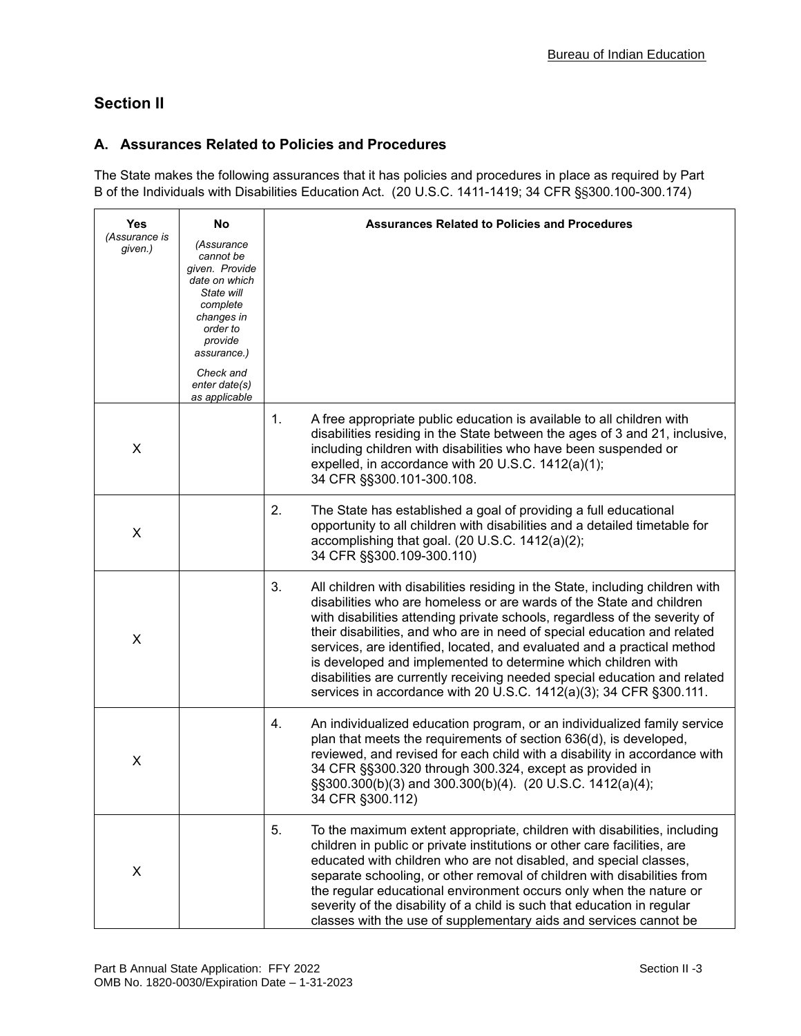# **Section II**

## **A. Assurances Related to Policies and Procedures**

The State makes the following assurances that it has policies and procedures in place as required by Part B of the Individuals with Disabilities Education Act. (20 U.S.C. 1411-1419; 34 CFR §§300.100-300.174)

| Yes                      | No                                                                                                                                       | <b>Assurances Related to Policies and Procedures</b>                                                                                                                                                                                                                                                                                                                                                                                                                                                                                                                                                                 |
|--------------------------|------------------------------------------------------------------------------------------------------------------------------------------|----------------------------------------------------------------------------------------------------------------------------------------------------------------------------------------------------------------------------------------------------------------------------------------------------------------------------------------------------------------------------------------------------------------------------------------------------------------------------------------------------------------------------------------------------------------------------------------------------------------------|
| (Assurance is<br>given.) | (Assurance<br>cannot be<br>given. Provide<br>date on which<br>State will<br>complete<br>changes in<br>order to<br>provide<br>assurance.) |                                                                                                                                                                                                                                                                                                                                                                                                                                                                                                                                                                                                                      |
|                          | Check and<br>enter date(s)<br>as applicable                                                                                              |                                                                                                                                                                                                                                                                                                                                                                                                                                                                                                                                                                                                                      |
| X                        |                                                                                                                                          | 1.<br>A free appropriate public education is available to all children with<br>disabilities residing in the State between the ages of 3 and 21, inclusive,<br>including children with disabilities who have been suspended or<br>expelled, in accordance with 20 U.S.C. 1412(a)(1);<br>34 CFR §§300.101-300.108.                                                                                                                                                                                                                                                                                                     |
| X                        |                                                                                                                                          | 2.<br>The State has established a goal of providing a full educational<br>opportunity to all children with disabilities and a detailed timetable for<br>accomplishing that goal. (20 U.S.C. 1412(a)(2);<br>34 CFR §§300.109-300.110)                                                                                                                                                                                                                                                                                                                                                                                 |
| X                        |                                                                                                                                          | 3.<br>All children with disabilities residing in the State, including children with<br>disabilities who are homeless or are wards of the State and children<br>with disabilities attending private schools, regardless of the severity of<br>their disabilities, and who are in need of special education and related<br>services, are identified, located, and evaluated and a practical method<br>is developed and implemented to determine which children with<br>disabilities are currently receiving needed special education and related<br>services in accordance with 20 U.S.C. 1412(a)(3); 34 CFR §300.111. |
| X                        |                                                                                                                                          | 4.<br>An individualized education program, or an individualized family service<br>plan that meets the requirements of section 636(d), is developed,<br>reviewed, and revised for each child with a disability in accordance with<br>34 CFR §§300.320 through 300.324, except as provided in<br>§§300.300(b)(3) and 300.300(b)(4). (20 U.S.C. 1412(a)(4);<br>34 CFR §300.112)                                                                                                                                                                                                                                         |
| X                        |                                                                                                                                          | 5.<br>To the maximum extent appropriate, children with disabilities, including<br>children in public or private institutions or other care facilities, are<br>educated with children who are not disabled, and special classes,<br>separate schooling, or other removal of children with disabilities from<br>the regular educational environment occurs only when the nature or<br>severity of the disability of a child is such that education in regular<br>classes with the use of supplementary aids and services cannot be                                                                                     |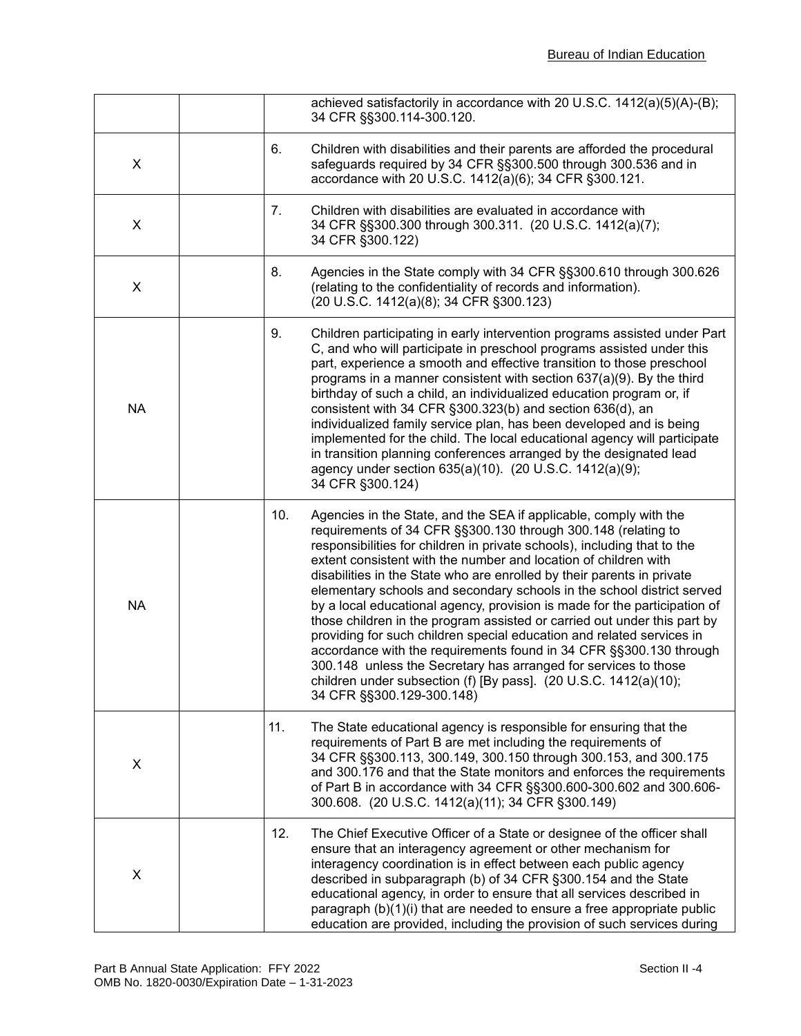|                |     | achieved satisfactorily in accordance with 20 U.S.C. 1412(a)(5)(A)-(B);<br>34 CFR §§300.114-300.120.                                                                                                                                                                                                                                                                                                                                                                                                                                                                                                                                                                                                                                                                                                                                                                                                                     |
|----------------|-----|--------------------------------------------------------------------------------------------------------------------------------------------------------------------------------------------------------------------------------------------------------------------------------------------------------------------------------------------------------------------------------------------------------------------------------------------------------------------------------------------------------------------------------------------------------------------------------------------------------------------------------------------------------------------------------------------------------------------------------------------------------------------------------------------------------------------------------------------------------------------------------------------------------------------------|
| $\pmb{\times}$ | 6.  | Children with disabilities and their parents are afforded the procedural<br>safeguards required by 34 CFR §§300.500 through 300.536 and in<br>accordance with 20 U.S.C. 1412(a)(6); 34 CFR §300.121.                                                                                                                                                                                                                                                                                                                                                                                                                                                                                                                                                                                                                                                                                                                     |
| X              | 7.  | Children with disabilities are evaluated in accordance with<br>34 CFR §§300.300 through 300.311. (20 U.S.C. 1412(a)(7);<br>34 CFR §300.122)                                                                                                                                                                                                                                                                                                                                                                                                                                                                                                                                                                                                                                                                                                                                                                              |
| X              | 8.  | Agencies in the State comply with 34 CFR §§300.610 through 300.626<br>(relating to the confidentiality of records and information).<br>(20 U.S.C. 1412(a)(8); 34 CFR §300.123)                                                                                                                                                                                                                                                                                                                                                                                                                                                                                                                                                                                                                                                                                                                                           |
| <b>NA</b>      | 9.  | Children participating in early intervention programs assisted under Part<br>C, and who will participate in preschool programs assisted under this<br>part, experience a smooth and effective transition to those preschool<br>programs in a manner consistent with section $637(a)(9)$ . By the third<br>birthday of such a child, an individualized education program or, if<br>consistent with 34 CFR §300.323(b) and section 636(d), an<br>individualized family service plan, has been developed and is being<br>implemented for the child. The local educational agency will participate<br>in transition planning conferences arranged by the designated lead<br>agency under section 635(a)(10). (20 U.S.C. 1412(a)(9);<br>34 CFR §300.124)                                                                                                                                                                      |
| <b>NA</b>      |     | 10.<br>Agencies in the State, and the SEA if applicable, comply with the<br>requirements of 34 CFR §§300.130 through 300.148 (relating to<br>responsibilities for children in private schools), including that to the<br>extent consistent with the number and location of children with<br>disabilities in the State who are enrolled by their parents in private<br>elementary schools and secondary schools in the school district served<br>by a local educational agency, provision is made for the participation of<br>those children in the program assisted or carried out under this part by<br>providing for such children special education and related services in<br>accordance with the requirements found in 34 CFR §§300.130 through<br>300.148 unless the Secretary has arranged for services to those<br>children under subsection (f) [By pass]. (20 U.S.C. 1412(a)(10);<br>34 CFR §§300.129-300.148) |
| X              | 11. | The State educational agency is responsible for ensuring that the<br>requirements of Part B are met including the requirements of<br>34 CFR §§300.113, 300.149, 300.150 through 300.153, and 300.175<br>and 300.176 and that the State monitors and enforces the requirements<br>of Part B in accordance with 34 CFR §§300.600-300.602 and 300.606-<br>300.608. (20 U.S.C. 1412(a)(11); 34 CFR §300.149)                                                                                                                                                                                                                                                                                                                                                                                                                                                                                                                 |
| X              |     | 12.<br>The Chief Executive Officer of a State or designee of the officer shall<br>ensure that an interagency agreement or other mechanism for<br>interagency coordination is in effect between each public agency<br>described in subparagraph (b) of 34 CFR §300.154 and the State<br>educational agency, in order to ensure that all services described in<br>paragraph (b)(1)(i) that are needed to ensure a free appropriate public<br>education are provided, including the provision of such services during                                                                                                                                                                                                                                                                                                                                                                                                       |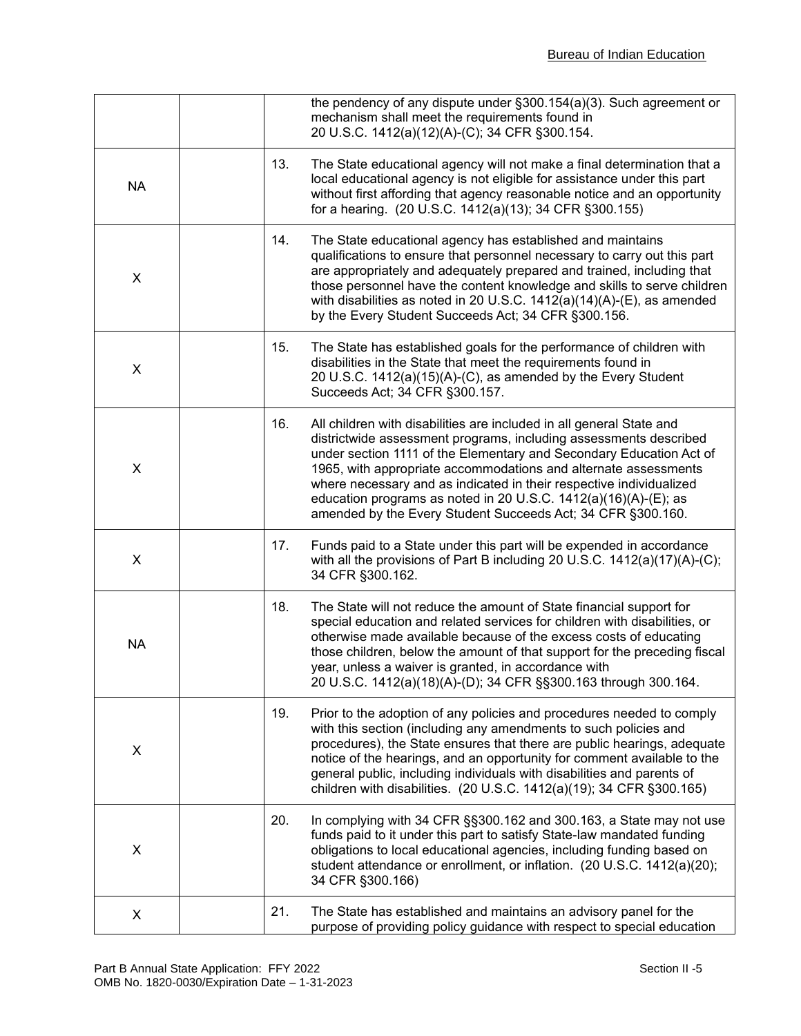|           |     | the pendency of any dispute under §300.154(a)(3). Such agreement or<br>mechanism shall meet the requirements found in<br>20 U.S.C. 1412(a)(12)(A)-(C); 34 CFR §300.154.                                                                                                                                                                                                                                                                                                                      |
|-----------|-----|----------------------------------------------------------------------------------------------------------------------------------------------------------------------------------------------------------------------------------------------------------------------------------------------------------------------------------------------------------------------------------------------------------------------------------------------------------------------------------------------|
| <b>NA</b> | 13. | The State educational agency will not make a final determination that a<br>local educational agency is not eligible for assistance under this part<br>without first affording that agency reasonable notice and an opportunity<br>for a hearing. (20 U.S.C. 1412(a)(13); 34 CFR §300.155)                                                                                                                                                                                                    |
| X         | 14. | The State educational agency has established and maintains<br>qualifications to ensure that personnel necessary to carry out this part<br>are appropriately and adequately prepared and trained, including that<br>those personnel have the content knowledge and skills to serve children<br>with disabilities as noted in 20 U.S.C. $1412(a)(14)(A)$ -(E), as amended<br>by the Every Student Succeeds Act; 34 CFR §300.156.                                                               |
| X         | 15. | The State has established goals for the performance of children with<br>disabilities in the State that meet the requirements found in<br>20 U.S.C. 1412(a)(15)(A)-(C), as amended by the Every Student<br>Succeeds Act; 34 CFR §300.157.                                                                                                                                                                                                                                                     |
| X         | 16. | All children with disabilities are included in all general State and<br>districtwide assessment programs, including assessments described<br>under section 1111 of the Elementary and Secondary Education Act of<br>1965, with appropriate accommodations and alternate assessments<br>where necessary and as indicated in their respective individualized<br>education programs as noted in 20 U.S.C. 1412(a)(16)(A)-(E); as<br>amended by the Every Student Succeeds Act; 34 CFR §300.160. |
| X         | 17. | Funds paid to a State under this part will be expended in accordance<br>with all the provisions of Part B including 20 U.S.C. 1412(a)(17)(A)-(C);<br>34 CFR §300.162.                                                                                                                                                                                                                                                                                                                        |
| <b>NA</b> | 18. | The State will not reduce the amount of State financial support for<br>special education and related services for children with disabilities, or<br>otherwise made available because of the excess costs of educating<br>those children, below the amount of that support for the preceding fiscal<br>year, unless a waiver is granted, in accordance with<br>20 U.S.C. 1412(a)(18)(A)-(D); 34 CFR §§300.163 through 300.164.                                                                |
| X         | 19. | Prior to the adoption of any policies and procedures needed to comply<br>with this section (including any amendments to such policies and<br>procedures), the State ensures that there are public hearings, adequate<br>notice of the hearings, and an opportunity for comment available to the<br>general public, including individuals with disabilities and parents of<br>children with disabilities. (20 U.S.C. 1412(a)(19); 34 CFR §300.165)                                            |
| X         | 20. | In complying with 34 CFR §§300.162 and 300.163, a State may not use<br>funds paid to it under this part to satisfy State-law mandated funding<br>obligations to local educational agencies, including funding based on<br>student attendance or enrollment, or inflation. (20 U.S.C. 1412(a)(20);<br>34 CFR §300.166)                                                                                                                                                                        |
| X         | 21. | The State has established and maintains an advisory panel for the<br>purpose of providing policy guidance with respect to special education                                                                                                                                                                                                                                                                                                                                                  |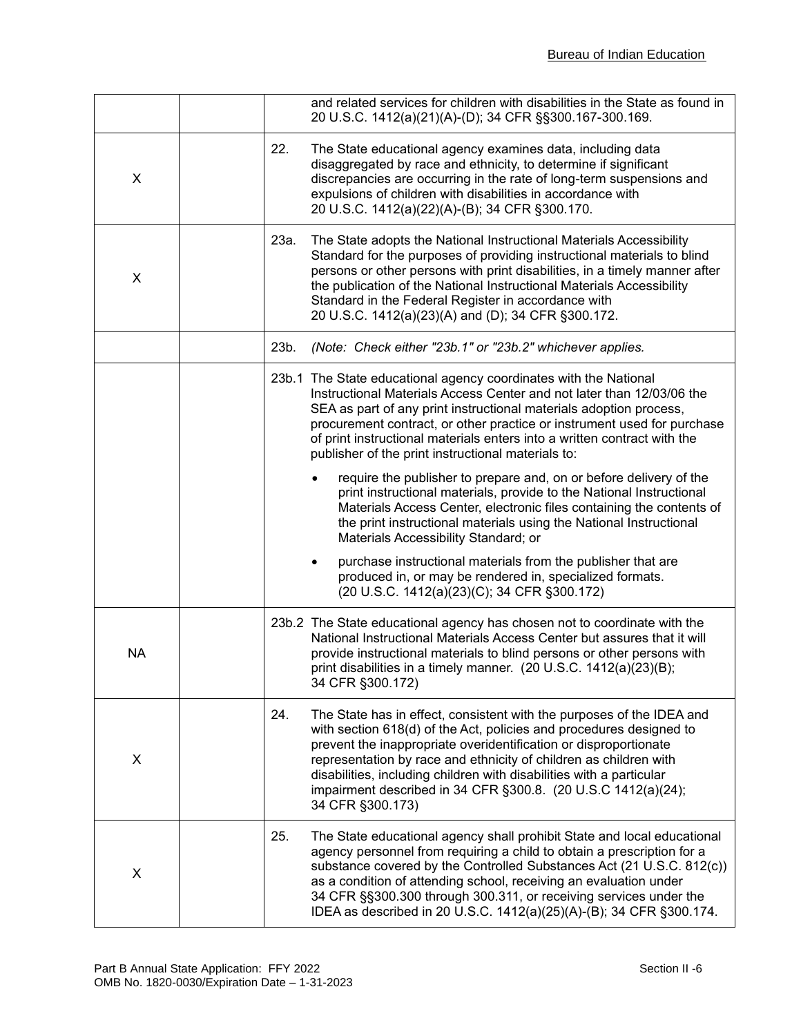|           | and related services for children with disabilities in the State as found in<br>20 U.S.C. 1412(a)(21)(A)-(D); 34 CFR §§300.167-300.169.                                                                                                                                                                                                                                                                                                                   |
|-----------|-----------------------------------------------------------------------------------------------------------------------------------------------------------------------------------------------------------------------------------------------------------------------------------------------------------------------------------------------------------------------------------------------------------------------------------------------------------|
| X         | 22.<br>The State educational agency examines data, including data<br>disaggregated by race and ethnicity, to determine if significant<br>discrepancies are occurring in the rate of long-term suspensions and<br>expulsions of children with disabilities in accordance with<br>20 U.S.C. 1412(a)(22)(A)-(B); 34 CFR §300.170.                                                                                                                            |
| X         | 23a.<br>The State adopts the National Instructional Materials Accessibility<br>Standard for the purposes of providing instructional materials to blind<br>persons or other persons with print disabilities, in a timely manner after<br>the publication of the National Instructional Materials Accessibility<br>Standard in the Federal Register in accordance with<br>20 U.S.C. 1412(a)(23)(A) and (D); 34 CFR §300.172.                                |
|           | (Note: Check either "23b.1" or "23b.2" whichever applies.<br>23b.                                                                                                                                                                                                                                                                                                                                                                                         |
|           | 23b.1 The State educational agency coordinates with the National<br>Instructional Materials Access Center and not later than 12/03/06 the<br>SEA as part of any print instructional materials adoption process,<br>procurement contract, or other practice or instrument used for purchase<br>of print instructional materials enters into a written contract with the<br>publisher of the print instructional materials to:                              |
|           | require the publisher to prepare and, on or before delivery of the<br>print instructional materials, provide to the National Instructional<br>Materials Access Center, electronic files containing the contents of<br>the print instructional materials using the National Instructional<br>Materials Accessibility Standard; or                                                                                                                          |
|           | purchase instructional materials from the publisher that are<br>produced in, or may be rendered in, specialized formats.<br>(20 U.S.C. 1412(a)(23)(C); 34 CFR §300.172)                                                                                                                                                                                                                                                                                   |
| <b>NA</b> | 23b.2 The State educational agency has chosen not to coordinate with the<br>National Instructional Materials Access Center but assures that it will<br>provide instructional materials to blind persons or other persons with<br>print disabilities in a timely manner. $(20 U.S.C. 1412(a)(23)(B));$<br>34 CFR §300.172)                                                                                                                                 |
| X         | 24.<br>The State has in effect, consistent with the purposes of the IDEA and<br>with section 618(d) of the Act, policies and procedures designed to<br>prevent the inappropriate overidentification or disproportionate<br>representation by race and ethnicity of children as children with<br>disabilities, including children with disabilities with a particular<br>impairment described in 34 CFR §300.8. (20 U.S.C 1412(a)(24);<br>34 CFR §300.173) |
| X         | 25.<br>The State educational agency shall prohibit State and local educational<br>agency personnel from requiring a child to obtain a prescription for a<br>substance covered by the Controlled Substances Act (21 U.S.C. 812(c))<br>as a condition of attending school, receiving an evaluation under<br>34 CFR §§300.300 through 300.311, or receiving services under the<br>IDEA as described in 20 U.S.C. 1412(a)(25)(A)-(B); 34 CFR §300.174.        |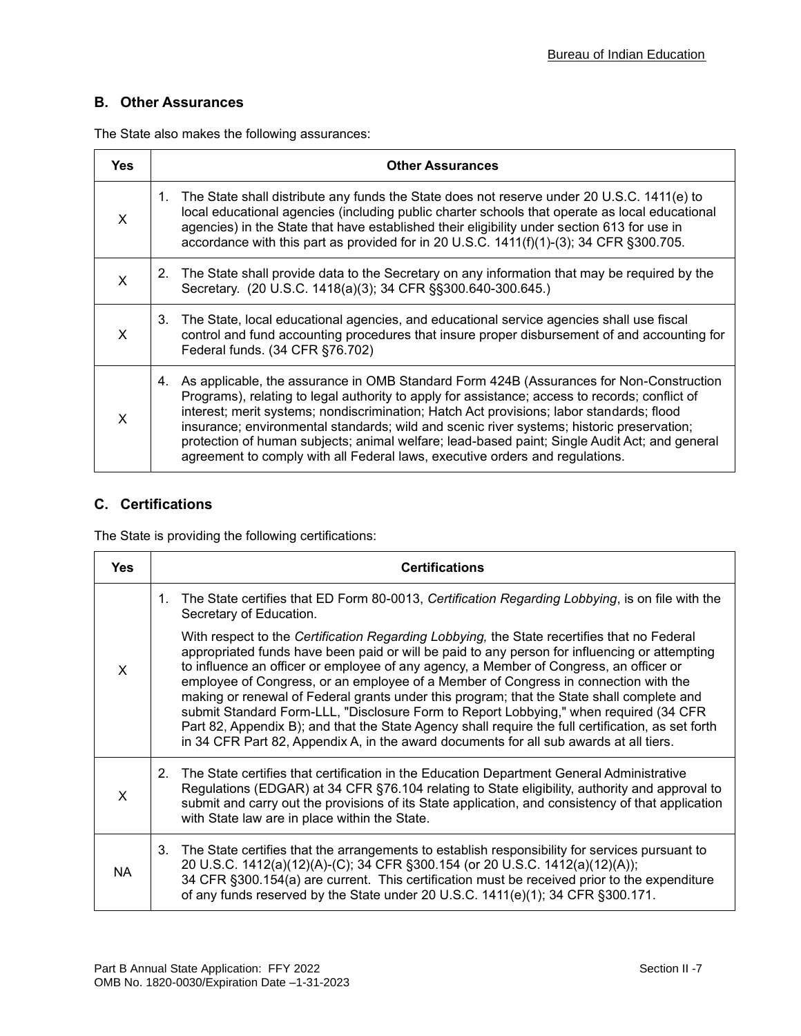## **B. Other Assurances**

The State also makes the following assurances:

| <b>Yes</b>   | <b>Other Assurances</b>                                                                                                                                                                                                                                                                                                                                                                                                                                                                                                                                                   |
|--------------|---------------------------------------------------------------------------------------------------------------------------------------------------------------------------------------------------------------------------------------------------------------------------------------------------------------------------------------------------------------------------------------------------------------------------------------------------------------------------------------------------------------------------------------------------------------------------|
| $\mathsf{x}$ | 1. The State shall distribute any funds the State does not reserve under 20 U.S.C. 1411(e) to<br>local educational agencies (including public charter schools that operate as local educational<br>agencies) in the State that have established their eligibility under section 613 for use in<br>accordance with this part as provided for in 20 U.S.C. 1411(f)(1)-(3); 34 CFR §300.705.                                                                                                                                                                                 |
| X            | The State shall provide data to the Secretary on any information that may be required by the<br>2.<br>Secretary. (20 U.S.C. 1418(a)(3); 34 CFR §§300.640-300.645.)                                                                                                                                                                                                                                                                                                                                                                                                        |
| X            | 3. The State, local educational agencies, and educational service agencies shall use fiscal<br>control and fund accounting procedures that insure proper disbursement of and accounting for<br>Federal funds. (34 CFR §76.702)                                                                                                                                                                                                                                                                                                                                            |
| X            | As applicable, the assurance in OMB Standard Form 424B (Assurances for Non-Construction<br>4.<br>Programs), relating to legal authority to apply for assistance; access to records; conflict of<br>interest; merit systems; nondiscrimination; Hatch Act provisions; labor standards; flood<br>insurance; environmental standards; wild and scenic river systems; historic preservation;<br>protection of human subjects; animal welfare; lead-based paint; Single Audit Act; and general<br>agreement to comply with all Federal laws, executive orders and regulations. |

### **C. Certifications**

The State is providing the following certifications:

| <b>Yes</b>   | <b>Certifications</b>                                                                                                                                                                                                                                                                                                                                                                                                                                                                                                                                                                                                                                                                                                                                               |
|--------------|---------------------------------------------------------------------------------------------------------------------------------------------------------------------------------------------------------------------------------------------------------------------------------------------------------------------------------------------------------------------------------------------------------------------------------------------------------------------------------------------------------------------------------------------------------------------------------------------------------------------------------------------------------------------------------------------------------------------------------------------------------------------|
|              | The State certifies that ED Form 80-0013, Certification Regarding Lobbying, is on file with the<br>1.<br>Secretary of Education.                                                                                                                                                                                                                                                                                                                                                                                                                                                                                                                                                                                                                                    |
| $\mathsf{x}$ | With respect to the Certification Regarding Lobbying, the State recertifies that no Federal<br>appropriated funds have been paid or will be paid to any person for influencing or attempting<br>to influence an officer or employee of any agency, a Member of Congress, an officer or<br>employee of Congress, or an employee of a Member of Congress in connection with the<br>making or renewal of Federal grants under this program; that the State shall complete and<br>submit Standard Form-LLL, "Disclosure Form to Report Lobbying," when required (34 CFR<br>Part 82, Appendix B); and that the State Agency shall require the full certification, as set forth<br>in 34 CFR Part 82, Appendix A, in the award documents for all sub awards at all tiers. |
| $\times$     | The State certifies that certification in the Education Department General Administrative<br>2.<br>Regulations (EDGAR) at 34 CFR §76.104 relating to State eligibility, authority and approval to<br>submit and carry out the provisions of its State application, and consistency of that application<br>with State law are in place within the State.                                                                                                                                                                                                                                                                                                                                                                                                             |
| <b>NA</b>    | The State certifies that the arrangements to establish responsibility for services pursuant to<br>3.<br>20 U.S.C. 1412(a)(12)(A)-(C); 34 CFR §300.154 (or 20 U.S.C. 1412(a)(12)(A));<br>34 CFR §300.154(a) are current. This certification must be received prior to the expenditure<br>of any funds reserved by the State under 20 U.S.C. 1411(e)(1); 34 CFR §300.171.                                                                                                                                                                                                                                                                                                                                                                                             |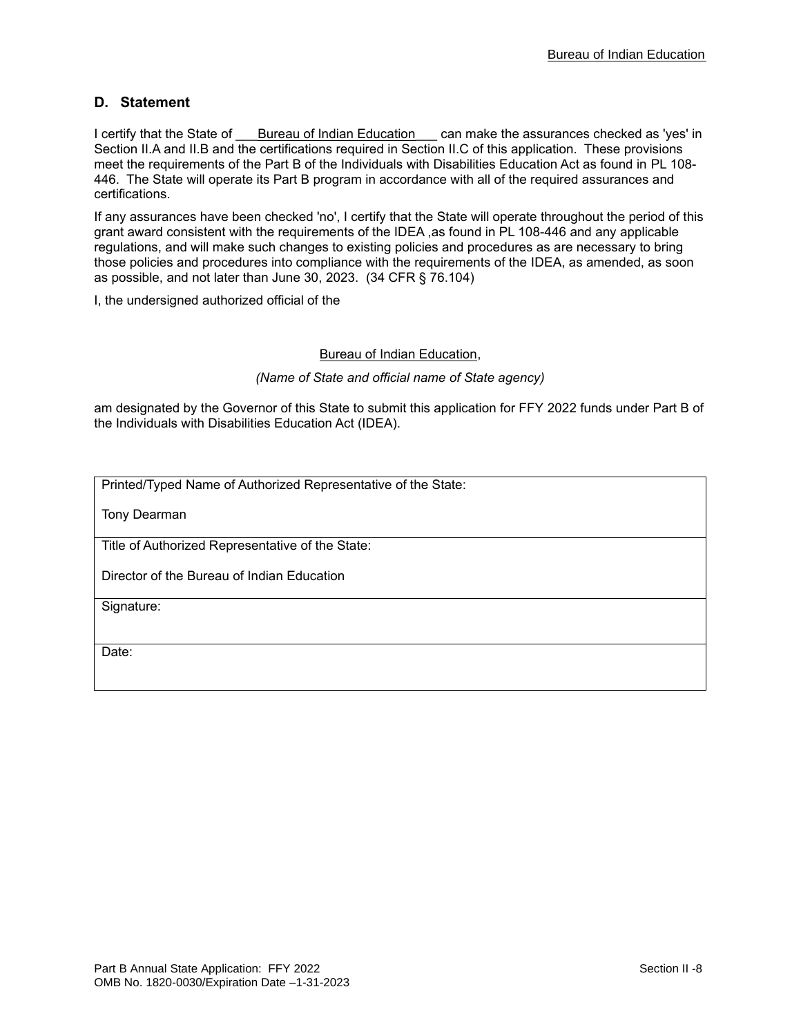### **D. Statement**

I certify that the State of Laureau of Indian Education Lan make the assurances checked as 'yes' in Section II.A and II.B and the certifications required in Section II.C of this application. These provisions meet the requirements of the Part B of the Individuals with Disabilities Education Act as found in PL 108- 446. The State will operate its Part B program in accordance with all of the required assurances and certifications.

If any assurances have been checked 'no', I certify that the State will operate throughout the period of this grant award consistent with the requirements of the IDEA ,as found in PL 108-446 and any applicable regulations, and will make such changes to existing policies and procedures as are necessary to bring those policies and procedures into compliance with the requirements of the IDEA, as amended, as soon as possible, and not later than June 30, 2023. (34 CFR § 76.104)

I, the undersigned authorized official of the

#### Bureau of Indian Education,

#### *(Name of State and official name of State agency)*

am designated by the Governor of this State to submit this application for FFY 2022 funds under Part B of the Individuals with Disabilities Education Act (IDEA).

Printed/Typed Name of Authorized Representative of the State:

Tony Dearman

Title of Authorized Representative of the State:

Director of the Bureau of Indian Education

Signature:

Date: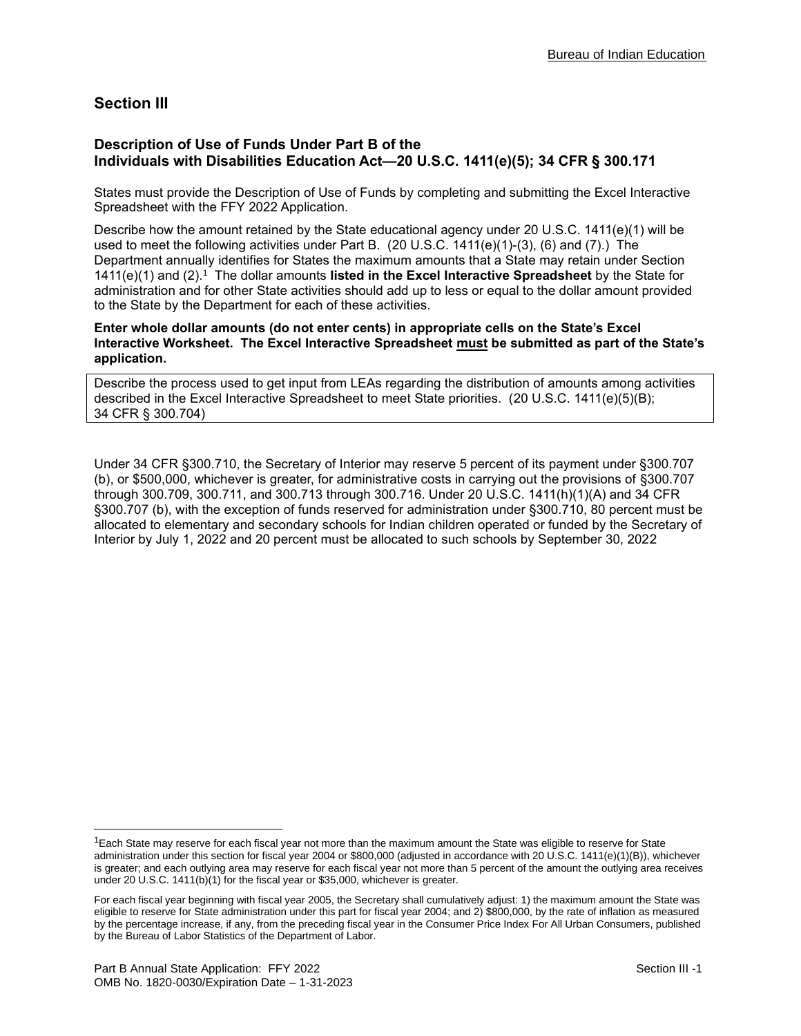# **Section III**

### **Description of Use of Funds Under Part B of the Individuals with Disabilities Education Act—20 U.S.C. 1411(e)(5); 34 CFR § 300.171**

States must provide the Description of Use of Funds by completing and submitting the Excel Interactive Spreadsheet with the FFY 2022 Application.

Describe how the amount retained by the State educational agency under 20 U.S.C. 1411(e)(1) will be used to meet the following activities under Part B. (20 U.S.C. 1411(e)(1)-(3), (6) and (7).) The Department annually identifies for States the maximum amounts that a State may retain under Section 1411(e)(1) and (2).<sup>1</sup> The dollar amounts listed in the Excel Interactive Spreadsheet by the State for administration and for other State activities should add up to less or equal to the dollar amount provided to the State by the Department for each of these activities.

**Enter whole dollar amounts (do not enter cents) in appropriate cells on the State's Excel Interactive Worksheet. The Excel Interactive Spreadsheet must be submitted as part of the State's application.**

Describe the process used to get input from LEAs regarding the distribution of amounts among activities described in the Excel Interactive Spreadsheet to meet State priorities. (20 U.S.C. 1411(e)(5)(B); 34 CFR § 300.704)

Under 34 CFR §300.710, the Secretary of Interior may reserve 5 percent of its payment under §300.707 (b), or \$500,000, whichever is greater, for administrative costs in carrying out the provisions of §300.707 through 300.709, 300.711, and 300.713 through 300.716. Under 20 U.S.C. 1411(h)(1)(A) and 34 CFR §300.707 (b), with the exception of funds reserved for administration under §300.710, 80 percent must be allocated to elementary and secondary schools for Indian children operated or funded by the Secretary of Interior by July 1, 2022 and 20 percent must be allocated to such schools by September 30, 2022

 $1$ Each State may reserve for each fiscal year not more than the maximum amount the State was eligible to reserve for State administration under this section for fiscal year 2004 or \$800,000 (adjusted in accordance with 20 U.S.C. 1411(e)(1)(B)), whichever is greater; and each outlying area may reserve for each fiscal year not more than 5 percent of the amount the outlying area receives under 20 U.S.C. 1411(b)(1) for the fiscal year or \$35,000, whichever is greater.

For each fiscal year beginning with fiscal year 2005, the Secretary shall cumulatively adjust: 1) the maximum amount the State was eligible to reserve for State administration under this part for fiscal year 2004; and 2) \$800,000, by the rate of inflation as measured by the percentage increase, if any, from the preceding fiscal year in the Consumer Price Index For All Urban Consumers, published by the Bureau of Labor Statistics of the Department of Labor.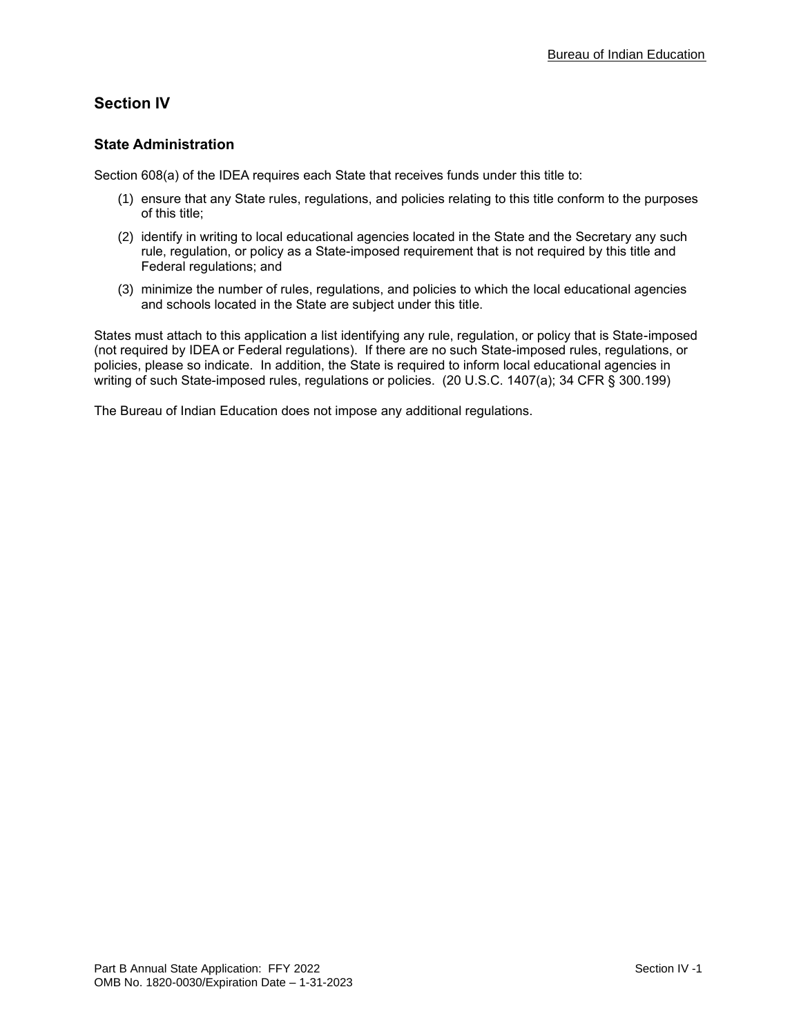# **Section IV**

### **State Administration**

Section 608(a) of the IDEA requires each State that receives funds under this title to:

- (1) ensure that any State rules, regulations, and policies relating to this title conform to the purposes of this title;
- (2) identify in writing to local educational agencies located in the State and the Secretary any such rule, regulation, or policy as a State-imposed requirement that is not required by this title and Federal regulations; and
- (3) minimize the number of rules, regulations, and policies to which the local educational agencies and schools located in the State are subject under this title.

States must attach to this application a list identifying any rule, regulation, or policy that is State-imposed (not required by IDEA or Federal regulations). If there are no such State-imposed rules, regulations, or policies, please so indicate. In addition, the State is required to inform local educational agencies in writing of such State-imposed rules, regulations or policies. (20 U.S.C. 1407(a); 34 CFR § 300.199)

The Bureau of Indian Education does not impose any additional regulations.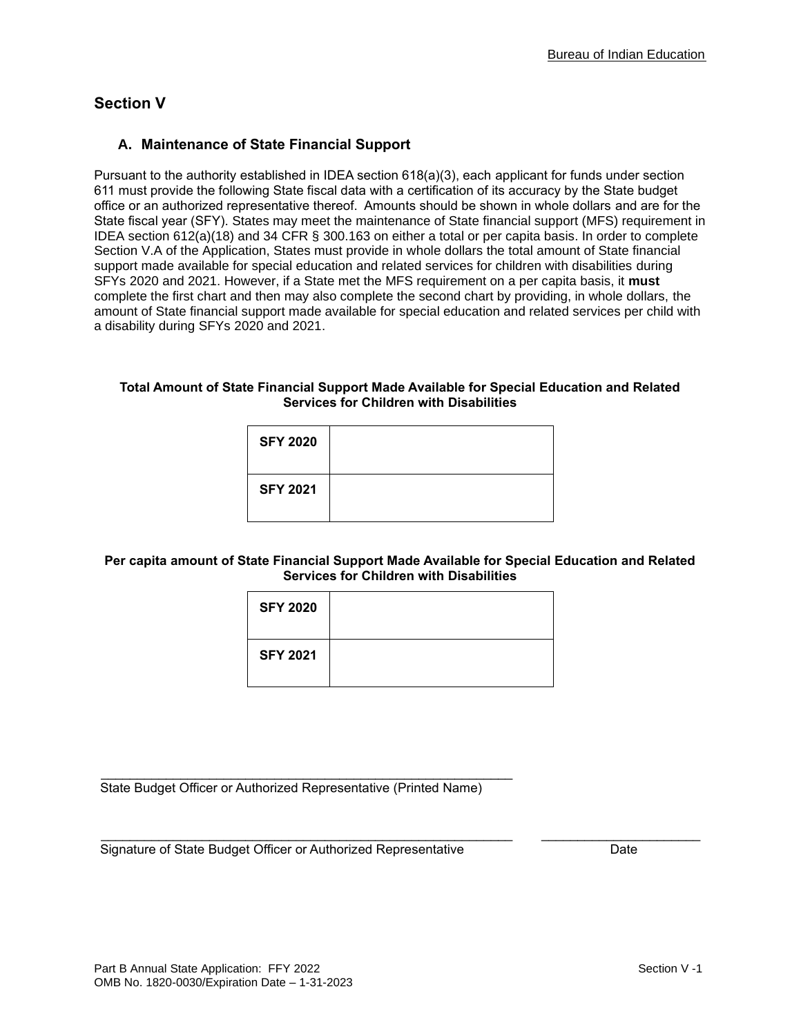# **Section V**

### **A. Maintenance of State Financial Support**

Pursuant to the authority established in IDEA section 618(a)(3), each applicant for funds under section 611 must provide the following State fiscal data with a certification of its accuracy by the State budget office or an authorized representative thereof. Amounts should be shown in whole dollars and are for the State fiscal year (SFY). States may meet the maintenance of State financial support (MFS) requirement in IDEA section 612(a)(18) and 34 CFR § 300.163 on either a total or per capita basis. In order to complete Section V.A of the Application, States must provide in whole dollars the total amount of State financial support made available for special education and related services for children with disabilities during SFYs 2020 and 2021. However, if a State met the MFS requirement on a per capita basis, it **must** complete the first chart and then may also complete the second chart by providing, in whole dollars, the amount of State financial support made available for special education and related services per child with a disability during SFYs 2020 and 2021.

#### **Total Amount of State Financial Support Made Available for Special Education and Related Services for Children with Disabilities**

| <b>SFY 2020</b> |  |
|-----------------|--|
| <b>SFY 2021</b> |  |

### **Per capita amount of State Financial Support Made Available for Special Education and Related Services for Children with Disabilities**

| <b>SFY 2020</b> |  |
|-----------------|--|
| <b>SFY 2021</b> |  |

\_\_\_\_\_\_\_\_\_\_\_\_\_\_\_\_\_\_\_\_\_\_\_\_\_\_\_\_\_\_\_\_\_\_\_\_\_\_\_\_\_\_\_\_\_\_\_\_\_\_\_\_\_\_\_\_\_ \_\_\_\_\_\_\_\_\_\_\_\_\_\_\_\_\_\_\_\_\_\_

State Budget Officer or Authorized Representative (Printed Name)

\_\_\_\_\_\_\_\_\_\_\_\_\_\_\_\_\_\_\_\_\_\_\_\_\_\_\_\_\_\_\_\_\_\_\_\_\_\_\_\_\_\_\_\_\_\_\_\_\_\_\_\_\_\_\_\_\_

Signature of State Budget Officer or Authorized Representative **Date** Date